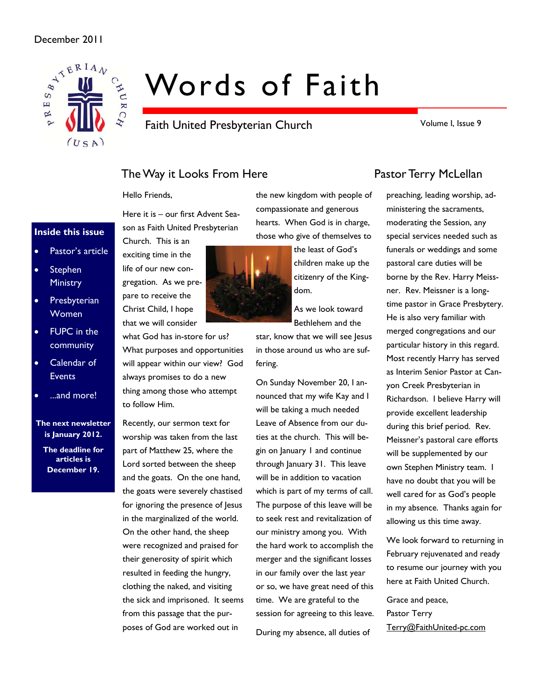

# Words of Faith

Faith United Presbyterian Church

Volume I, Issue 9

# The Way it Looks From Here **Pastor Terry McLellan**

Hello Friends,

Here it is – our first Advent Season as Faith United Presbyterian Church. This is an



**Inside this issue** 

- **Stephen Ministry**
- Presbyterian Women
- FUPC in the community
- Calendar of **Events**
- ...and more!

#### **The next newsletter is January 2012.**

**The deadline for articles is December 19.** 



what God has in-store for us? What purposes and opportunities will appear within our view? God always promises to do a new thing among those who attempt to follow Him.

Recently, our sermon text for worship was taken from the last part of Matthew 25, where the Lord sorted between the sheep and the goats. On the one hand, the goats were severely chastised for ignoring the presence of Jesus in the marginalized of the world. On the other hand, the sheep were recognized and praised for their generosity of spirit which resulted in feeding the hungry, clothing the naked, and visiting the sick and imprisoned. It seems from this passage that the purposes of God are worked out in

the new kingdom with people of compassionate and generous hearts. When God is in charge, those who give of themselves to

children make up the

star, know that we will see Jesus in those around us who are suf-

On Sunday November 20, I announced that my wife Kay and I will be taking a much needed Leave of Absence from our duties at the church. This will begin on January 1 and continue through January 31. This leave will be in addition to vacation which is part of my terms of call. The purpose of this leave will be to seek rest and revitalization of our ministry among you. With the hard work to accomplish the merger and the significant losses in our family over the last year or so, we have great need of this time. We are grateful to the session for agreeing to this leave. During my absence, all duties of

preaching, leading worship, administering the sacraments, moderating the Session, any special services needed such as funerals or weddings and some pastoral care duties will be borne by the Rev. Harry Meissner. Rev. Meissner is a longtime pastor in Grace Presbytery. He is also very familiar with merged congregations and our particular history in this regard. Most recently Harry has served as Interim Senior Pastor at Canyon Creek Presbyterian in Richardson. I believe Harry will provide excellent leadership during this brief period. Rev. Meissner's pastoral care efforts will be supplemented by our own Stephen Ministry team. I have no doubt that you will be well cared for as God's people in my absence. Thanks again for allowing us this time away.

We look forward to returning in February rejuvenated and ready to resume our journey with you here at Faith United Church.

Grace and peace, Pastor Terry Terry@FaithUnited-pc.com

the least of God's

citizenry of the Kingdom.

As we look toward Bethlehem and the

fering.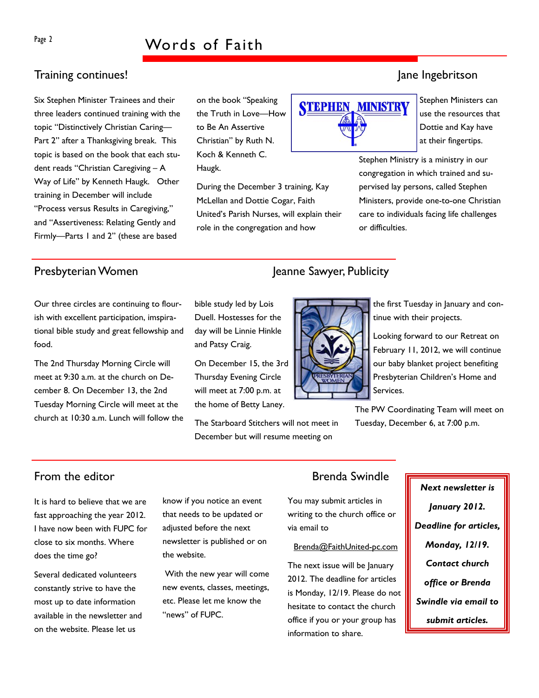# Page 2 Words of Faith

# Training continues! Jane Ingebritson

Six Stephen Minister Trainees and their three leaders continued training with the topic "Distinctively Christian Caring— Part 2" after a Thanksgiving break. This topic is based on the book that each student reads "Christian Caregiving – A Way of Life" by Kenneth Haugk. Other training in December will include "Process versus Results in Caregiving," and "Assertiveness: Relating Gently and Firmly—Parts 1 and 2" (these are based

on the book "Speaking the Truth in Love—How to Be An Assertive Christian" by Ruth N. Koch & Kenneth C. Haugk.

bible study led by Lois Duell. Hostesses for the day will be Linnie Hinkle

On December 15, the 3rd Thursday Evening Circle will meet at 7:00 p.m. at the home of Betty Laney.

The Starboard Stitchers will not meet in December but will resume meeting on

and Patsy Craig.

During the December 3 training, Kay McLellan and Dottie Cogar, Faith United's Parish Nurses, will explain their role in the congregation and how

Stephen Ministers can use the resources that Dottie and Kay have at their fingertips.

Stephen Ministry is a ministry in our congregation in which trained and supervised lay persons, called Stephen Ministers, provide one-to-one Christian care to individuals facing life challenges or difficulties.

Our three circles are continuing to flourish with excellent participation, imspirational bible study and great fellowship and food.

The 2nd Thursday Morning Circle will meet at 9:30 a.m. at the church on December 8. On December 13, the 2nd Tuesday Morning Circle will meet at the church at 10:30 a.m. Lunch will follow the

# Presbyterian Women Jeanne Sawyer, Publicity

**STEPHEN, MINISTRY** 



the first Tuesday in January and continue with their projects.

Looking forward to our Retreat on February 11, 2012, we will continue our baby blanket project benefiting Presbyterian Children's Home and Services.

The PW Coordinating Team will meet on Tuesday, December 6, at 7:00 p.m.

It is hard to believe that we are fast approaching the year 2012. I have now been with FUPC for close to six months. Where does the time go?

Several dedicated volunteers constantly strive to have the most up to date information available in the newsletter and on the website. Please let us

know if you notice an event that needs to be updated or adjusted before the next newsletter is published or on the website.

 With the new year will come new events, classes, meetings, etc. Please let me know the "news" of FUPC.

# From the editor **Brenda** Swindle

You may submit articles in writing to the church office or via email to

#### Brenda@FaithUnited-pc.com

The next issue will be January 2012. The deadline for articles is Monday, 12/19. Please do not hesitate to contact the church office if you or your group has information to share.

*Next newsletter is January 2012. Deadline for articles, Monday, 12/19. Contact church office or Brenda Swindle via email to submit articles.*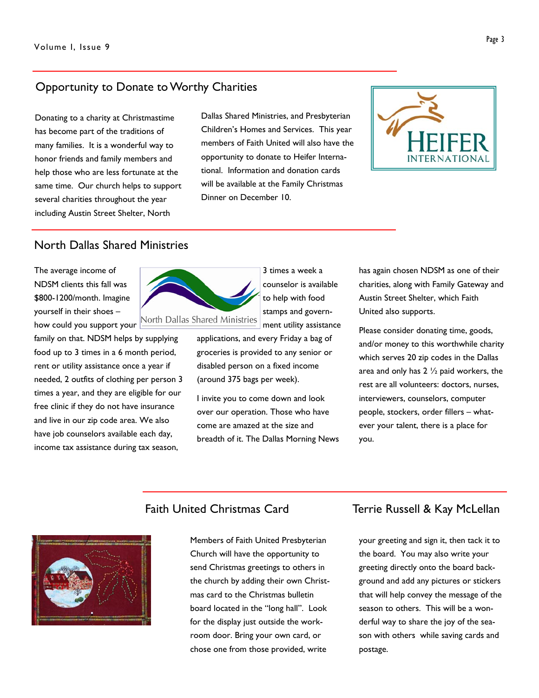# Opportunity to Donate to Worthy Charities

Donating to a charity at Christmastime has become part of the traditions of many families. It is a wonderful way to honor friends and family members and help those who are less fortunate at the same time. Our church helps to support several charities throughout the year including Austin Street Shelter, North

Dallas Shared Ministries, and Presbyterian Children's Homes and Services. This year members of Faith United will also have the opportunity to donate to Heifer International. Information and donation cards will be available at the Family Christmas Dinner on December 10.



## North Dallas Shared Ministries

The average income of NDSM clients this fall was \$800-1200/month. Imagine yourself in their shoes – how could you support your

family on that. NDSM helps by supplying food up to 3 times in a 6 month period, rent or utility assistance once a year if needed, 2 outfits of clothing per person 3 times a year, and they are eligible for our free clinic if they do not have insurance and live in our zip code area. We also have job counselors available each day, income tax assistance during tax season,



3 times a week a counselor is available to help with food stamps and government utility assistance

applications, and every Friday a bag of groceries is provided to any senior or disabled person on a fixed income (around 375 bags per week).

I invite you to come down and look over our operation. Those who have come are amazed at the size and breadth of it. The Dallas Morning News has again chosen NDSM as one of their charities, along with Family Gateway and Austin Street Shelter, which Faith United also supports.

Please consider donating time, goods, and/or money to this worthwhile charity which serves 20 zip codes in the Dallas area and only has  $2\frac{1}{2}$  paid workers, the rest are all volunteers: doctors, nurses, interviewers, counselors, computer people, stockers, order fillers – whatever your talent, there is a place for you.



Members of Faith United Presbyterian Church will have the opportunity to send Christmas greetings to others in the church by adding their own Christmas card to the Christmas bulletin board located in the "long hall". Look for the display just outside the workroom door. Bring your own card, or chose one from those provided, write

### Faith United Christmas Card Terrie Russell & Kay McLellan

your greeting and sign it, then tack it to the board. You may also write your greeting directly onto the board background and add any pictures or stickers that will help convey the message of the season to others. This will be a wonderful way to share the joy of the season with others while saving cards and postage.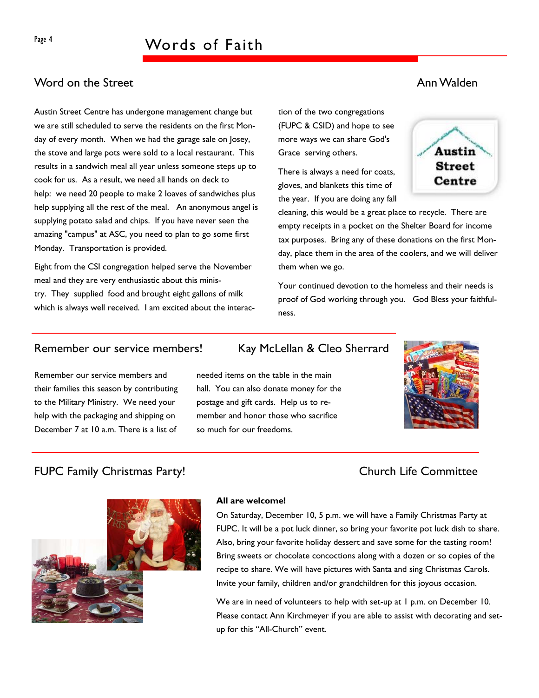# Page 4 Words of Faith

# Word on the Street Ann Walden Ann Walden Ann Walden Ann Walden Ann Walden Ann Walden Ann Walden Ann Walden Ann Walden

Austin Street Centre has undergone management change but we are still scheduled to serve the residents on the first Monday of every month. When we had the garage sale on Josey, the stove and large pots were sold to a local restaurant. This results in a sandwich meal all year unless someone steps up to cook for us. As a result, we need all hands on deck to help: we need 20 people to make 2 loaves of sandwiches plus help supplying all the rest of the meal. An anonymous angel is supplying potato salad and chips. If you have never seen the amazing "campus" at ASC, you need to plan to go some first Monday. Transportation is provided.

Eight from the CSI congregation helped serve the November meal and they are very enthusiastic about this ministry. They supplied food and brought eight gallons of milk which is always well received. I am excited about the interaction of the two congregations (FUPC & CSID) and hope to see more ways we can share God's Grace serving others.

There is always a need for coats, gloves, and blankets this time of the year. If you are doing any fall



cleaning, this would be a great place to recycle. There are empty receipts in a pocket on the Shelter Board for income tax purposes. Bring any of these donations on the first Monday, place them in the area of the coolers, and we will deliver them when we go.

Your continued devotion to the homeless and their needs is proof of God working through you. God Bless your faithfulness.

## Remember our service members! Kay McLellan & Cleo Sherrard

Remember our service members and their families this season by contributing to the Military Ministry. We need your help with the packaging and shipping on December 7 at 10 a.m. There is a list of

needed items on the table in the main hall. You can also donate money for the postage and gift cards. Help us to remember and honor those who sacrifice so much for our freedoms.



# FUPC Family Christmas Party! Church Life Committee



#### **All are welcome!**

On Saturday, December 10, 5 p.m. we will have a Family Christmas Party at FUPC. It will be a pot luck dinner, so bring your favorite pot luck dish to share. Also, bring your favorite holiday dessert and save some for the tasting room! Bring sweets or chocolate concoctions along with a dozen or so copies of the recipe to share. We will have pictures with Santa and sing Christmas Carols. Invite your family, children and/or grandchildren for this joyous occasion.

We are in need of volunteers to help with set-up at 1 p.m. on December 10. Please contact Ann Kirchmeyer if you are able to assist with decorating and setup for this "All-Church" event.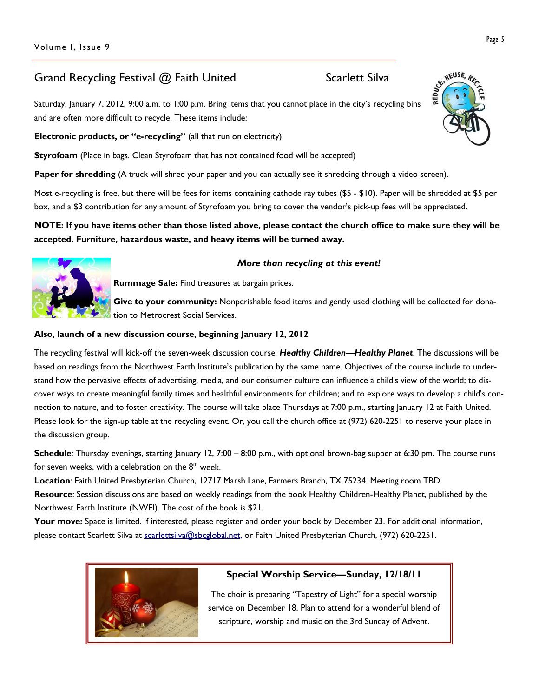# Grand Recycling Festival @ Faith United Scarlett Silva

Saturday, January 7, 2012, 9:00 a.m. to 1:00 p.m. Bring items that you cannot place in the city's recycling bins and are often more difficult to recycle. These items include:

**Electronic products, or "e-recycling"** (all that run on electricity)

**Styrofoam** (Place in bags. Clean Styrofoam that has not contained food will be accepted)

**Paper for shredding** (A truck will shred your paper and you can actually see it shredding through a video screen).

Most e-recycling is free, but there will be fees for items containing cathode ray tubes (\$5 - \$10). Paper will be shredded at \$5 per box, and a \$3 contribution for any amount of Styrofoam you bring to cover the vendor's pick-up fees will be appreciated.

### **NOTE: If you have items other than those listed above, please contact the church office to make sure they will be accepted. Furniture, hazardous waste, and heavy items will be turned away.**



#### *More than recycling at this event!*

**Rummage Sale:** Find treasures at bargain prices.

Give to your community: Nonperishable food items and gently used clothing will be collected for donation to Metrocrest Social Services.

#### **Also, launch of a new discussion course, beginning January 12, 2012**

The recycling festival will kick-off the seven-week discussion course: *Healthy Children—Healthy Planet*. The discussions will be based on readings from the Northwest Earth Institute's publication by the same name. Objectives of the course include to understand how the pervasive effects of advertising, media, and our consumer culture can influence a child's view of the world; to discover ways to create meaningful family times and healthful environments for children; and to explore ways to develop a child's connection to nature, and to foster creativity. The course will take place Thursdays at 7:00 p.m., starting January 12 at Faith United. Please look for the sign-up table at the recycling event. Or, you call the church office at (972) 620-2251 to reserve your place in the discussion group.

**Schedule**: Thursday evenings, starting January 12, 7:00 – 8:00 p.m., with optional brown-bag supper at 6:30 pm. The course runs for seven weeks, with a celebration on the  $8<sup>th</sup>$  week.

**Location**: Faith United Presbyterian Church, 12717 Marsh Lane, Farmers Branch, TX 75234. Meeting room TBD. **Resource**: Session discussions are based on weekly readings from the book Healthy Children-Healthy Planet, published by the Northwest Earth Institute (NWEI). The cost of the book is \$21.

**Your move:** Space is limited. If interested, please register and order your book by December 23. For additional information, please contact Scarlett Silva at scarlettsilva@sbcglobal.net, or Faith United Presbyterian Church, (972) 620-2251.



### **Special Worship Service—Sunday, 12/18/11**

The choir is preparing "Tapestry of Light" for a special worship service on December 18. Plan to attend for a wonderful blend of scripture, worship and music on the 3rd Sunday of Advent.

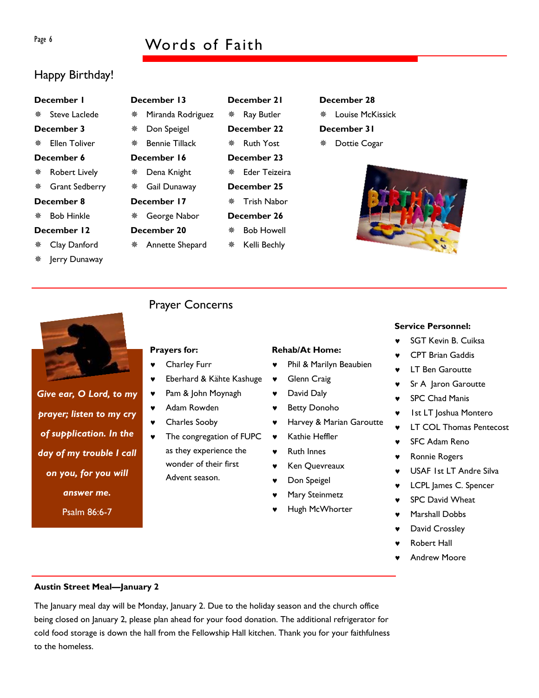# Page 6 Words of Faith

**December 21**  Ray Butler **December 22 ※ Ruth Yost December 23**  Eder Teizeira **December 25**  Trish Nabor **December 26**  Bob Howell Kelli Bechly

# Happy Birthday!

#### **December 1**

\* Steve Laclede

### **December 3**

Ellen Toliver

#### **December 6**

- Robert Lively
- Grant Sedberry

### **December 8**

Bob Hinkle

### **December 12**

- Clay Danford
- Jerry Dunaway

# **December 13**  Miranda Rodriguez

- Don Speigel Bennie Tillack
- **December 16**
- Dena Knight
	- Gail Dunaway
	- **December 17**
	- George Nabor
	- **December 20**
- 

### **Prayers for:**

- Charley Furr
- Eberhard & Kähte Kashuge
- ♥ Pam & John Moynagh
- ♥ Adam Rowden
- ♥ Charles Sooby
- The congregation of FUPC as they experience the wonder of their first Advent season.

### **Rehab/At Home:**

- Phil & Marilyn Beaubien
- ♥ Glenn Craig
- ♥ Harvey & Marian Garoutte
- ♥ Kathie Heffler
- ♥ Ruth Innes
- Ken Quevreaux
- ♥ Don Speigel
- Mary Steinmetz
- 
- **Service Personnel:** 
	- SGT Kevin B. Cuiksa
	- CPT Brian Gaddis
	- **LT Ben Garoutte**
	- Sr A Jaron Garoutte
	- ♥ SPC Chad Manis
	- ♥ 1st LT Joshua Montero
	- **LT COL Thomas Pentecost**
	- SFC Adam Reno
	- Ronnie Rogers
	- ♥ USAF 1st LT Andre Silva
	- LCPL James C. Spencer
	- **SPC David Wheat**
	- Marshall Dobbs
	- David Crossley
	- **Robert Hall**
	- **Andrew Moore**

### **Austin Street Meal—January 2**

The January meal day will be Monday, January 2. Due to the holiday season and the church office being closed on January 2, please plan ahead for your food donation. The additional refrigerator for cold food storage is down the hall from the Fellowship Hall kitchen. Thank you for your faithfulness to the homeless.

*prayer; listen to my cry of supplication. In the day of my trouble I call on you, for you will answer me.*  Psalm 86:6-7

*Give ear, O Lord, to my* 

 Annette Shepard Prayer Concerns

# **December 28**  Louise McKissick **December 31**

Dottie Cogar



# ♥ David Daly ♥ Betty Donoho

- 
- 
- 
- 
- 
- 
- Hugh McWhorter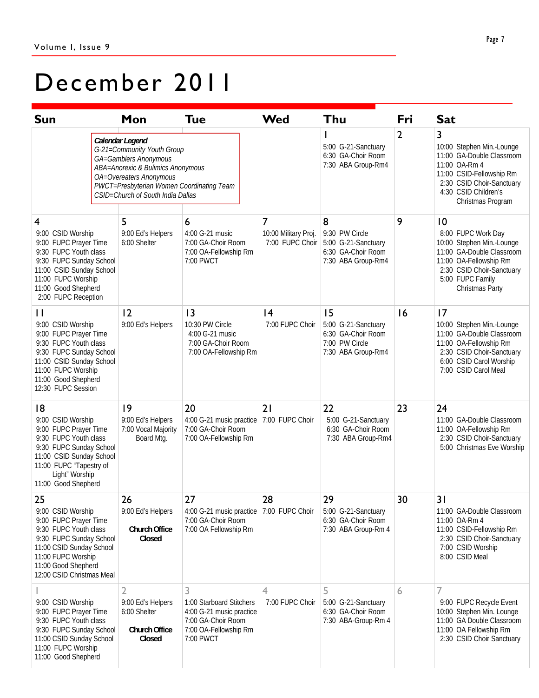# December 2011

| <b>Sun</b>                                                                                                                                                                                                 |  | Mon                                                                                                                                                                                                                      | <b>Tue</b>                                                                                                            | <b>Wed</b>                                   | Thu                                                                                     | Fri            | <b>Sat</b>                                                                                                                                                                         |
|------------------------------------------------------------------------------------------------------------------------------------------------------------------------------------------------------------|--|--------------------------------------------------------------------------------------------------------------------------------------------------------------------------------------------------------------------------|-----------------------------------------------------------------------------------------------------------------------|----------------------------------------------|-----------------------------------------------------------------------------------------|----------------|------------------------------------------------------------------------------------------------------------------------------------------------------------------------------------|
|                                                                                                                                                                                                            |  | Calendar Legend<br>G-21=Community Youth Group<br>GA=Gamblers Anonymous<br>ABA=Anorexic & Bulimics Anonymous<br>OA=Overeaters Anonymous<br>PWCT=Presbyterian Women Coordinating Team<br>CSID=Church of South India Dallas |                                                                                                                       |                                              | 5:00 G-21-Sanctuary<br>6:30 GA-Choir Room<br>7:30 ABA Group-Rm4                         | $\overline{2}$ | 3<br>10:00 Stephen Min.-Lounge<br>11:00 GA-Double Classroom<br>11:00 OA-Rm 4<br>11:00 CSID-Fellowship Rm<br>2:30 CSID Choir-Sanctuary<br>4:30 CSID Children's<br>Christmas Program |
| 4<br>9:00 CSID Worship<br>9:00 FUPC Prayer Time<br>9:30 FUPC Youth class<br>9:30 FUPC Sunday School<br>11:00 CSID Sunday School<br>11:00 FUPC Worship<br>11:00 Good Shepherd<br>2:00 FUPC Reception        |  | 5<br>9:00 Ed's Helpers<br>6:00 Shelter                                                                                                                                                                                   | 6<br>4:00 G-21 music<br>7:00 GA-Choir Room<br>7:00 OA-Fellowship Rm<br>7:00 PWCT                                      | 7<br>10:00 Military Proj.<br>7:00 FUPC Choir | 8<br>9:30 PW Circle<br>5:00 G-21-Sanctuary<br>6:30 GA-Choir Room<br>7:30 ABA Group-Rm4  | 9              | 10<br>8:00 FUPC Work Day<br>10:00 Stephen Min.-Lounge<br>11:00 GA-Double Classroom<br>11:00 OA-Fellowship Rm<br>2:30 CSID Choir-Sanctuary<br>5:00 FUPC Family<br>Christmas Party   |
| П<br>9:00 CSID Worship<br>9:00 FUPC Prayer Time<br>9:30 FUPC Youth class<br>9:30 FUPC Sunday School<br>11:00 CSID Sunday School<br>11:00 FUPC Worship<br>11:00 Good Shepherd<br>12:30 FUPC Session         |  | 12<br>9:00 Ed's Helpers                                                                                                                                                                                                  | 13<br>10:30 PW Circle<br>4:00 G-21 music<br>7:00 GA-Choir Room<br>7:00 OA-Fellowship Rm                               | 4<br>7:00 FUPC Choir                         | 15<br>5:00 G-21-Sanctuary<br>6:30 GA-Choir Room<br>7:00 PW Circle<br>7:30 ABA Group-Rm4 | 16             | 17<br>10:00 Stephen Min.-Lounge<br>11:00 GA-Double Classroom<br>11:00 OA-Fellowship Rm<br>2:30 CSID Choir-Sanctuary<br>6:00 CSID Carol Worship<br>7:00 CSID Carol Meal             |
| 18<br>9:00 CSID Worship<br>9:00 FUPC Prayer Time<br>9:30 FUPC Youth class<br>9:30 FUPC Sunday School<br>11:00 CSID Sunday School<br>11:00 FUPC "Tapestry of<br>Light" Worship<br>11:00 Good Shepherd       |  | 9<br>9:00 Ed's Helpers<br>7:00 Vocal Majority<br>Board Mtg.                                                                                                                                                              | 20<br>4:00 G-21 music practice<br>7:00 GA-Choir Room<br>7:00 OA-Fellowship Rm                                         | 21<br>7:00 FUPC Choir                        | 22<br>5:00 G-21-Sanctuary<br>6:30 GA-Choir Room<br>7:30 ABA Group-Rm4                   | 23             | 24<br>11:00 GA-Double Classroom<br>11:00 OA-Fellowship Rm<br>2:30 CSID Choir-Sanctuary<br>5:00 Christmas Eve Worship                                                               |
| 25<br>9:00 CSID Worship<br>9:00 FUPC Prayer Time<br>9:30 FUPC Youth class<br>9:30 FUPC Sunday School<br>11:00 CSID Sunday School<br>11:00 FUPC Worship<br>11:00 Good Shepherd<br>12:00 CSID Christmas Meal |  | 26<br>9:00 Ed's Helpers<br>Church Office<br>Closed                                                                                                                                                                       | 27<br>4:00 G-21 music practice<br>7:00 GA-Choir Room<br>7:00 OA Fellowship Rm                                         | 28<br>7:00 FUPC Choir                        | 29<br>5:00 G-21-Sanctuary<br>6:30 GA-Choir Room<br>7:30 ABA Group-Rm 4                  | 30             | 31<br>11:00 GA-Double Classroom<br>11:00 OA-Rm 4<br>11:00 CSID-Fellowship Rm<br>2:30 CSID Choir-Sanctuary<br>7:00 CSID Worship<br>8:00 CSID Meal                                   |
| 9:00 CSID Worship<br>9:00 FUPC Prayer Time<br>9:30 FUPC Youth class<br>9:30 FUPC Sunday School<br>11:00 CSID Sunday School<br>11:00 FUPC Worship<br>11:00 Good Shepherd                                    |  | 2<br>9:00 Ed's Helpers<br>6:00 Shelter<br>Church Office<br>Closed                                                                                                                                                        | 3<br>1:00 Starboard Stitchers<br>4:00 G-21 music practice<br>7:00 GA-Choir Room<br>7:00 OA-Fellowship Rm<br>7:00 PWCT | 4<br>7:00 FUPC Choir                         | 5<br>5:00 G-21-Sanctuary<br>6:30 GA-Choir Room<br>7:30 ABA-Group-Rm 4                   | 6              | 7<br>9:00 FUPC Recycle Event<br>10:00 Stephen Min. Lounge<br>11:00 GA Double Classroom<br>11:00 OA Fellowship Rm<br>2:30 CSID Choir Sanctuary                                      |